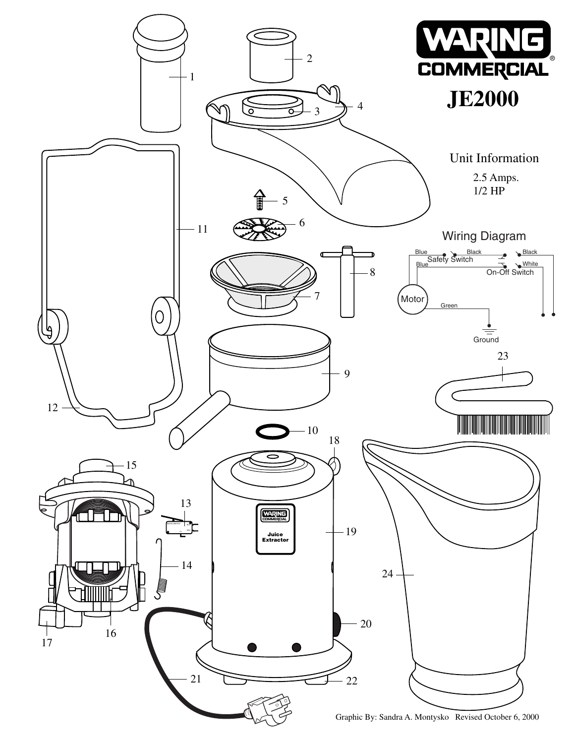